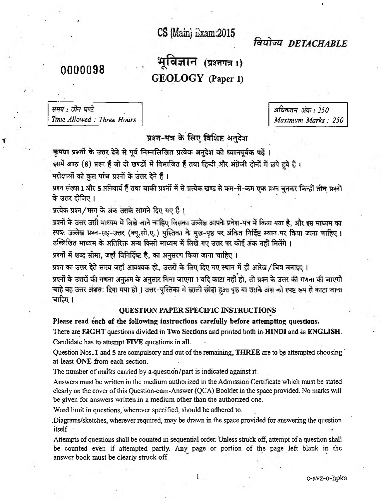## CS (Main) Exam:2015

वियोज्य DETACHARLE

-I

## nnn0098 भूविज्ञान (प्रश्नपत्र I) 0 0 0 0 0 9 8 **0 1 8**  $\overline{})$  **0 0 0 0 0 1 8**  $\overline{})$  **0 0 0 0 1 8**  $\overline{})$  0 0 1  $\overline{})$  0 0 1  $\overline{})$  0 0 1  $\overline{})$  0 0 1  $\overline{})$  0 0 1  $\overline{})$  0 0 1  $\overline{})$  0 0 1  $\overline{})$  0 0 1  $\overline{})$  0 0 1  $\overline{})$  0 0 1  $\overline{})$  0 0 1  $\overline$ **GEOLOGY (Paper I)**

| समय : तीन घण्टे           |  |
|---------------------------|--|
| Time Allowed: Three Hours |  |

: t*fr? 3ffy%m : 250 Time Allowed : Three Hours Maximum Marks: 250*

प्रश्न-पत्र के लिए विशिष्ट अनदेश

<span id="page-0-0"></span>कृपया प्रश्नों के उत्तर देने से पूर्व निम्नलिखित प्रत्येक अनुदेश को ध्यानपूर्वक पढ़ें।

इसमें आठ (8) प्रश्न हैं जो दो खण्डों में विभाजित हैं तथा हिन्दी और अंग्रेजी दोनों में छपे हये हैं।

परीक्षार्थी को कुल पांच प्रश्नों के उत्तर देने हैं।

प्रश्न संख्या 1 और 5 अनिवार्य हैं तथा बाकी प्रश्नों में से प्रत्येक खण्ड से कम-से-कम एक प्रश्न चुनकर किन्हीं तीन प्रश्नों के उत्तर दीजिए ।

प्रत्येक प्रश्न / भाग के अंक उसके सामने दिए गए हैं ।

प्रश्नों के उत्तर उसी माघ्यम में लिखे जाने चाहिए जिसका उल्लेख आपके प्रवेश-पत्र में किया गया है, और इस माघ्यम का स्पष्ट उल्लेख प्रश्न-सह-उत्तर (क्यू.सी.ए.) पुस्तिका के मुख-पृष्ठ पर अंकित निर्दिष्ट स्थान पर किया जाना चाहिए। उल्लिखित माध्यम के अतिरिक्त अन्य किसी माध्यम में लिखे गए उत्तर पर कोई अंक नहीं मिलेंगे ।

प्रश्नों में शब्द सीमा, जहाँ विनिर्दिष्ट है, का अनुसरण किया जाना चाहिए ।

**t o ^ t^ r ^ tw t ^ t ft, 1 ^ ^ ^ ^ ^ 3 r i ^ / f ^ i**

प्रश्नों के उत्तरों की गणना अनुक्रम के अनुसार गिना जाएगा । यदि काटा नहीं हो, तो प्रश्न के उत्तर की गणना की जाएगी<br>चाहे वह उत्तर अंशतः दिया मया हो । उत्तर-पुस्तिका में खाली छोड़ा हुआ पृष्ठ या उसके अंश को स्पष्ट रूप से काटा चाहिए $1$ 

## **QUESTION PAPER SPECIFIC INSTRUCTIONS**

**Please read each of the following instructions carefully before attempting questions.** There are EIGHT questions divided in Two Sections and printed both in HINDI and in ENGLISH. Candidate has to attempt FTVE questions in all.

Question Nos<sub> $<sub>1</sub>$ </sub> and 5 are compulsory and out of the remaining, THREE are to be attempted choosing  $\overline{ }$ </sub> at least ONE from each section.

The number of marks carried by a question/part is indicated against it.

Answers must be written in the medium authorized in the Admission Certificate which must be stated clearly on the cover of this Question-cum-Answer (QCA) Booklet in the space provided. No marks will be given for answers written .in a medium other than the authorized one.

Word limit in questions, wherever specified, should be adhered to.

.Diagrams/sketches, wherever required, may be drawn in the space provided for answering the question itself.

Attempts of questions shall be counted in sequential order. Unless struck off, attempt of a question shall be counted even if attempted partly. Any page or portion of the page left blank in the answer book must be clearly struck off.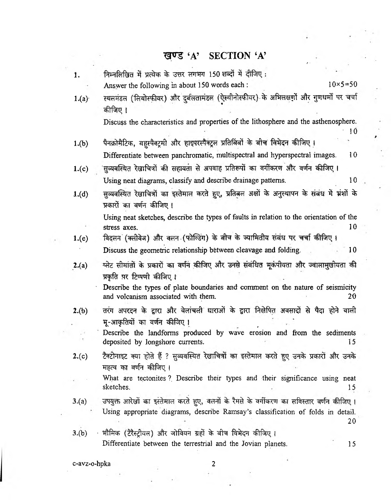## खण्ड 'A' SECTION 'A'

*f '*

| 1.    | निम्नलिखित में प्रत्येक के उत्तर लगभग 150 शब्दों में दीजिए:                                                                                                                   |                   |
|-------|-------------------------------------------------------------------------------------------------------------------------------------------------------------------------------|-------------------|
|       | Answer the following in about 150 words each :                                                                                                                                | $10\times 5 = 50$ |
| 1.(a) | स्थलमंडल (लियोस्फीयर) और दुर्बलतामंडल (ऐस्थीनोस्फीयर) के अभिलक्षणों और गुणधर्मों पर चर्चा<br>कीजिए ।                                                                          |                   |
|       | Discuss the characteristics and properties of the lithosphere and the asthenosphere.                                                                                          | 10                |
| 1.(b) | पैनक्रो <u>मै</u> टिक, बहुस्पैक्ट्रमी और हाइपरस्पैक्ट्रल प्रतिबिंबों के बीच विभेदन कीजिए ।                                                                                    |                   |
|       | Differentiate between panchromatic, multispectral and hyperspectral images.                                                                                                   | 10 <sup>1</sup>   |
| 1.(c) | 'सुव्यवस्थित रेखाचित्रों की सहायता से अपवाह प्रतिरूपों का वर्गीकरण और वर्णन कीजिए ।                                                                                           |                   |
|       | Using neat diagrams, classify and describe drainage patterns.                                                                                                                 | 10 <sup>°</sup>   |
| 1.(d) | सुव्यवस्थित रेखाचित्रों का इस्तेमाल करते हुए, प्रतिबल अक्षों के अनुस्थापन के संबंध में भ्रंशों के<br>प्रकारों का वर्णन कीजिए ।                                                |                   |
|       | Using neat sketches, describe the types of faults in relation to the orientation of the                                                                                       |                   |
|       | stress axes.                                                                                                                                                                  | 10                |
| 1.(e) | विदलन (क्लीवेज) और वलन (फोल्डिंग) के बीच के ज्यामितीय संबंध पर चर्चा कीजिए।                                                                                                   |                   |
|       | Discuss the geometric relationship between cleavage and folding.                                                                                                              | 10                |
| 2(a)  | प्लेट सीमांतों के प्रकारों का वर्णन कीजिए और उनसे संबंधित भूकंपीयता और ज्वालामुखीयता की<br>प्रकृति पर टिप्पणी कीजिए ।                                                         |                   |
|       | Describe the types of plate boundaries and comment on the nature of seismicity<br>and volcanism associated with them.                                                         | 20                |
| 2.(b) | तरंग अपरदन के द्वारा और वेलांचली धाराओं के द्वारा निक्षेपित अवसादों से पैदा होने वाली<br>भू-आकृतियों का वर्णन कीजिए ।                                                         |                   |
|       | Describe the landforms produced by wave erosion and from the sediments<br>deposited by longshore currents.                                                                    | 15                |
| 2.(c) | टैक्टोनाइट क्या होते हैं ? सुव्यवस्थित रेखाचित्रों का इस्तेमाल करते हुए उनके प्रकारों और उनके<br>महत्व का वर्णन कीजिए।                                                        |                   |
|       | What are tectonites? Describe their types and their significance using neat<br>sketches.                                                                                      | 15                |
| 3.(a) | उपयुक्त आरेखों का इस्तेमाल करते हुए, वलनों के रैमसे के वर्गीकरण का सविस्तार वर्णन कीजिए ।<br>Using appropriate diagrams, describe Ramsay's classification of folds in detail. | 20                |
| 3.(b) | · भौमिक (टैरैस्ट्रीयल) और जोवियन ग्रहों के बीच विमेदन कीजिए ।                                                                                                                 |                   |
|       | Differentiate between the terrestrial and the Jovian planets.                                                                                                                 | 15                |
|       |                                                                                                                                                                               |                   |

c-avz-o-hpka 2

 $\overline{L}$ 

 $\overline{\phantom{a}}$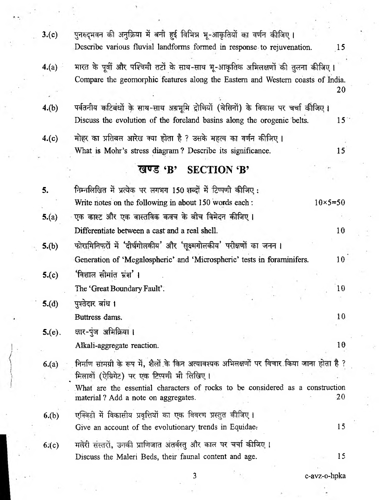| 3.(c)     | पुनरुद्भवन की अनुक्रिया में बनी हुई विभिन्न भू-आकृतियों का वर्णन कीजिए ।                                                                                          |                   |
|-----------|-------------------------------------------------------------------------------------------------------------------------------------------------------------------|-------------------|
|           | Describe various fluvial landforms formed in response to rejuvenation.                                                                                            | 15                |
| 4.(a)     | भारत के पूर्वी और पश्चिमी तटों के साथ-साथ भू-आकृतिक अभिलक्षणों की तुलना कीजिए ।<br>Compare the geomorphic features along the Eastern and Western coasts of India. |                   |
|           |                                                                                                                                                                   | 20                |
| 4.(b)     | पर्वतनीय कटिबंधों के साथ-साथ अग्रभूमि द्रोणियों (बेसिनों) के विकास पर चर्चा कीजिए ।<br>Discuss the evolution of the foreland basins along the orogenic belts.     | $15^{\circ}$      |
| 4.(c)     | मोहर का प्रतिबल अारेख क्या होता है ? उसके महत्व का वर्णन कीजिए ।                                                                                                  |                   |
|           | What is Mohr's stress diagram? Describe its significance.                                                                                                         | 15                |
|           | <b>SECTION 'B'</b><br>खण्ड 'B'                                                                                                                                    |                   |
|           |                                                                                                                                                                   |                   |
| 5.        | निम्नलिखित में प्रत्येक पर लगभग 150 शब्दों में टिप्पणी कीजिए:                                                                                                     |                   |
|           | Write notes on the following in about 150 words each:                                                                                                             | $10\times 5 = 50$ |
| 5.(a)     | ्एक कास्ट और एक वास्तविक कवच के बीच विमेदन कीजिए ।                                                                                                                |                   |
|           | Differentiate between a cast and a real shell.                                                                                                                    | 10                |
| 5(6)      | फोरामिनिफरों में 'दीर्घगोलकीय' और 'सूक्ष्मगोलकीय' परीक्षणों का जनन ।                                                                                              |                   |
|           | Generation of 'Megalospheric' and 'Microspheric' tests in foraminifers.                                                                                           | 10 <sup>°</sup>   |
| 5( c )    | 'विशाल सीमांत भ्रंश' ।                                                                                                                                            |                   |
|           | The 'Great Boundary Fault'.                                                                                                                                       | 10                |
| 5.(d)     | पुश्तेदार बांध ।                                                                                                                                                  |                   |
|           | Buttress dams.                                                                                                                                                    | 10 <sup>°</sup>   |
| $5.(e)$ . | क्षार-पुंज अभिक्रिया।                                                                                                                                             |                   |
|           | Alkali-aggregate reaction.                                                                                                                                        | 10                |
|           | निर्माण सामग्री के रूप में, शैलों के किन अत्यावश्यक अभिलक्षणों पर विचार किया जाना होता है ?                                                                       |                   |
| 6(2)      | मिलावों (ऐग्रिगेट) पर एक टिप्पणी भी लिखिए।                                                                                                                        |                   |
|           | What are the essential characters of rocks to be considered as a construction                                                                                     |                   |
|           | material? Add a note on aggregates.                                                                                                                               | 20                |
| 6.(b)     | एक्क्डि में विकासीय प्रवृत्तियों का एक विवरण प्रस्तुत कीजिए ।                                                                                                     |                   |
|           | Give an account of the evolutionary trends in Equidae.                                                                                                            | 15                |
| 6( c )    | मलेरी संस्तरों, उनकी प्राणिजात अंतर्वस्तु और काल पर चर्चा कीजिए ।                                                                                                 |                   |
|           | Discuss the Maleri Beds, their faunal content and age.                                                                                                            | 15                |
|           |                                                                                                                                                                   |                   |
|           | 3<br>c-avz-o-hpka                                                                                                                                                 |                   |